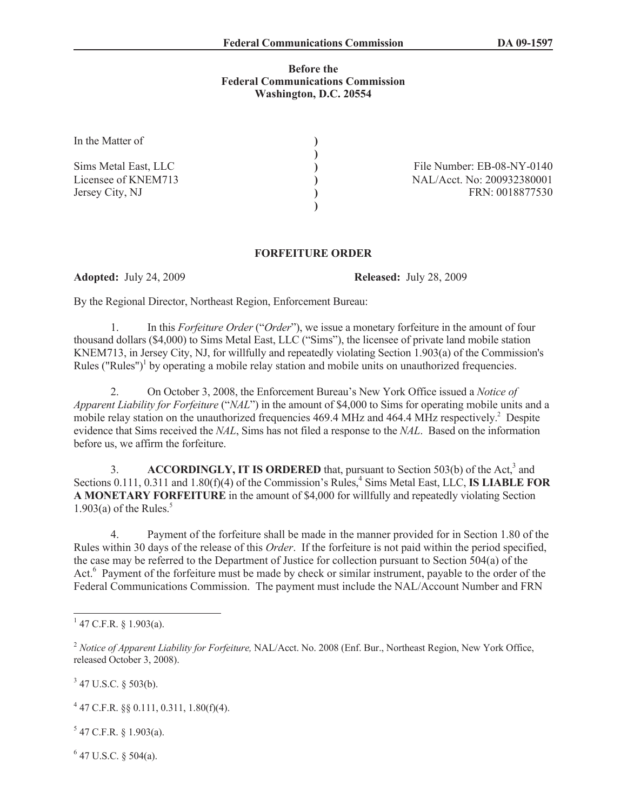## **Before the Federal Communications Commission Washington, D.C. 20554**

| In the Matter of     |  |
|----------------------|--|
| Sims Metal East, LLC |  |
| Licensee of KNEM713  |  |
| Jersey City, NJ      |  |
|                      |  |

File Number: EB-08-NY-0140 NAL/Acct. No: 200932380001 FRN: 0018877530

## **FORFEITURE ORDER**

**Adopted:** July 24, 2009 **Released:** July 28, 2009

By the Regional Director, Northeast Region, Enforcement Bureau:

1. In this *Forfeiture Order* ("*Order*"), we issue a monetary forfeiture in the amount of four thousand dollars (\$4,000) to Sims Metal East, LLC ("Sims"), the licensee of private land mobile station KNEM713, in Jersey City, NJ, for willfully and repeatedly violating Section 1.903(a) of the Commission's Rules ("Rules")<sup>1</sup> by operating a mobile relay station and mobile units on unauthorized frequencies.

2. On October 3, 2008, the Enforcement Bureau's New York Office issued a *Notice of Apparent Liability for Forfeiture* ("*NAL*") in the amount of \$4,000 to Sims for operating mobile units and a mobile relay station on the unauthorized frequencies 469.4 MHz and 464.4 MHz respectively.<sup>2</sup> Despite evidence that Sims received the *NAL*, Sims has not filed a response to the *NAL*. Based on the information before us, we affirm the forfeiture.

3. ACCORDINGLY, IT IS ORDERED that, pursuant to Section 503(b) of the Act,<sup>3</sup> and Sections 0.111, 0.311 and 1.80(f)(4) of the Commission's Rules,<sup>4</sup> Sims Metal East, LLC, **IS LIABLE FOR A MONETARY FORFEITURE** in the amount of \$4,000 for willfully and repeatedly violating Section 1.903(a) of the Rules. $5$ 

4. Payment of the forfeiture shall be made in the manner provided for in Section 1.80 of the Rules within 30 days of the release of this *Order*. If the forfeiture is not paid within the period specified, the case may be referred to the Department of Justice for collection pursuant to Section 504(a) of the Act.<sup>6</sup> Payment of the forfeiture must be made by check or similar instrument, payable to the order of the Federal Communications Commission. The payment must include the NAL/Account Number and FRN

 $3$  47 U.S.C. § 503(b).

4 47 C.F.R. §§ 0.111, 0.311, 1.80(f)(4).

 $5$  47 C.F.R. § 1.903(a).

 $6$  47 U.S.C. § 504(a).

 $1$  47 C.F.R. § 1.903(a).

<sup>&</sup>lt;sup>2</sup> Notice of Apparent Liability for Forfeiture, NAL/Acct. No. 2008 (Enf. Bur., Northeast Region, New York Office, released October 3, 2008).